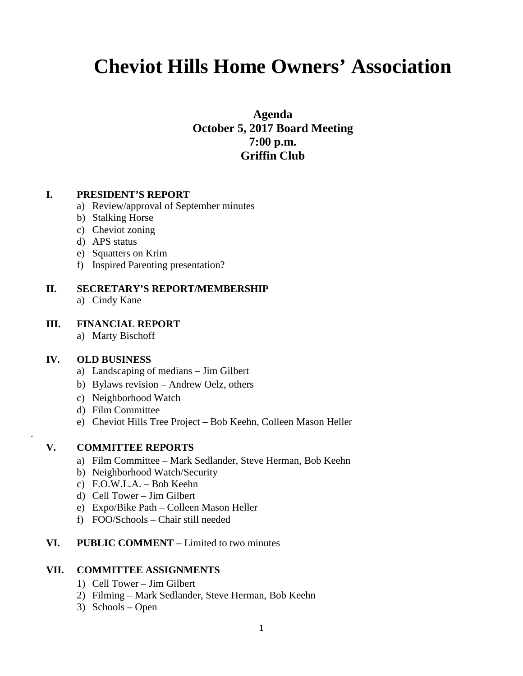# **Cheviot Hills Home Owners' Association**

**Agenda October 5, 2017 Board Meeting 7:00 p.m. Griffin Club**

# **I. PRESIDENT'S REPORT**

- a) Review/approval of September minutes
- b) Stalking Horse
- c) Cheviot zoning
- d) APS status
- e) Squatters on Krim
- f) Inspired Parenting presentation?

# **II. SECRETARY'S REPORT/MEMBERSHIP**

a) Cindy Kane

# **III. FINANCIAL REPORT**

a) Marty Bischoff

#### **IV. OLD BUSINESS**

.

- a) Landscaping of medians Jim Gilbert
- b) Bylaws revision Andrew Oelz, others
- c) Neighborhood Watch
- d) Film Committee
- e) Cheviot Hills Tree Project Bob Keehn, Colleen Mason Heller

# **V. COMMITTEE REPORTS**

- a) Film Committee Mark Sedlander, Steve Herman, Bob Keehn
- b) Neighborhood Watch/Security
- c) F.O.W.L.A. Bob Keehn
- d) Cell Tower Jim Gilbert
- e) Expo/Bike Path Colleen Mason Heller
- f) FOO/Schools Chair still needed

# **VI. PUBLIC COMMENT** – Limited to two minutes

#### **VII. COMMITTEE ASSIGNMENTS**

- 1) Cell Tower Jim Gilbert
- 2) Filming Mark Sedlander, Steve Herman, Bob Keehn
- 3) Schools Open